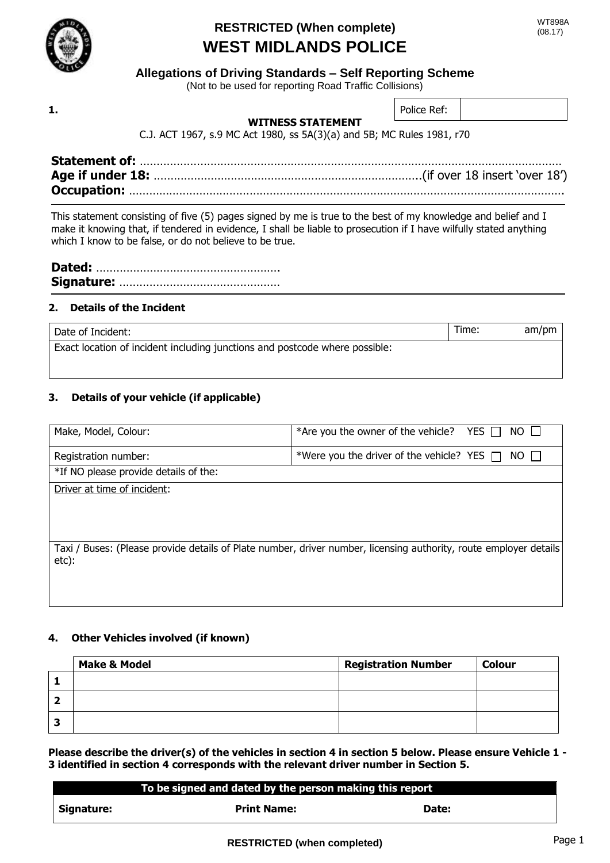

### **Allegations of Driving Standards – Self Reporting Scheme**

(Not to be used for reporting Road Traffic Collisions)

**1.**

### **WITNESS STATEMENT**

Police Ref:

C.J. ACT 1967, s.9 MC Act 1980, ss 5A(3)(a) and 5B; MC Rules 1981, r70

This statement consisting of five (5) pages signed by me is true to the best of my knowledge and belief and I make it knowing that, if tendered in evidence, I shall be liable to prosecution if I have wilfully stated anything which I know to be false, or do not believe to be true.

### **2. Details of the Incident**

Date of Incident: am/pm Exact location of incident including junctions and postcode where possible:

### **3. Details of your vehicle (if applicable)**

| Make, Model, Colour:                  | *Are you the owner of the vehicle? YES $\Box$<br>$NO \perp$                                                |
|---------------------------------------|------------------------------------------------------------------------------------------------------------|
| Registration number:                  | *Were you the driver of the vehicle? YES $\Box$ NO $\Box$                                                  |
| *If NO please provide details of the: |                                                                                                            |
| Driver at time of incident:           |                                                                                                            |
|                                       |                                                                                                            |
|                                       |                                                                                                            |
|                                       |                                                                                                            |
| Taxi /<br>etc):                       | Buses: (Please provide details of Plate number, driver number, licensing authority, route employer details |
|                                       |                                                                                                            |
|                                       |                                                                                                            |

### **4. Other Vehicles involved (if known)**

|   | <b>Make &amp; Model</b> | <b>Registration Number</b> | <b>Colour</b> |
|---|-------------------------|----------------------------|---------------|
|   |                         |                            |               |
|   |                         |                            |               |
| س |                         |                            |               |

**Please describe the driver(s) of the vehicles in section 4 in section 5 below. Please ensure Vehicle 1 - 3 identified in section 4 corresponds with the relevant driver number in Section 5.**

|            | To be signed and dated by the person making this report |       |  |
|------------|---------------------------------------------------------|-------|--|
| Signature: | <b>Print Name:</b>                                      | Date: |  |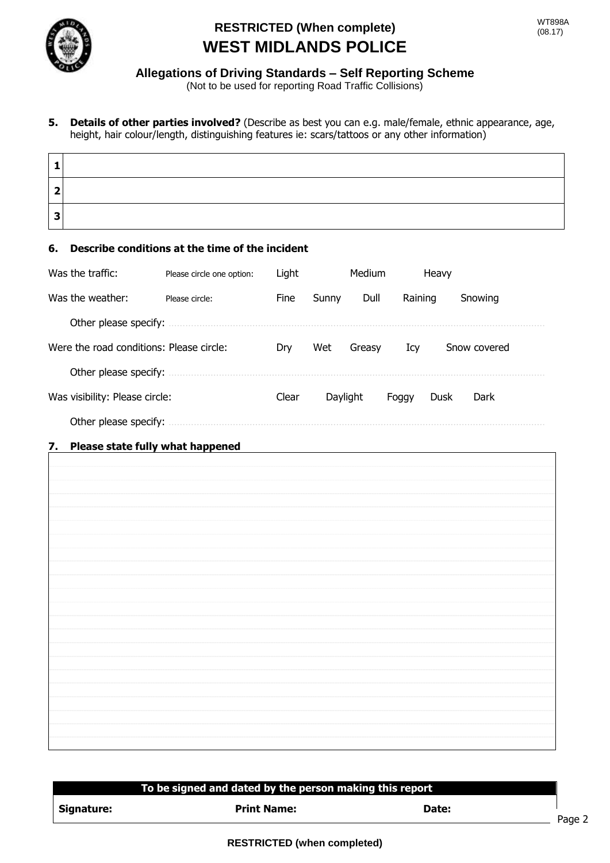

### **Allegations of Driving Standards – Self Reporting Scheme**

(Not to be used for reporting Road Traffic Collisions)

**5. Details of other parties involved?** (Describe as best you can e.g. male/female, ethnic appearance, age, height, hair colour/length, distinguishing features ie: scars/tattoos or any other information)

#### **6. Describe conditions at the time of the incident**

| Was the traffic:                         | Please circle one option: | Light       |          | Medium |         | Heavy |              |
|------------------------------------------|---------------------------|-------------|----------|--------|---------|-------|--------------|
| Was the weather:                         | Please circle:            | <b>Fine</b> | Sunny    | Dull   | Raining |       | Snowing      |
| Other please specify:                    |                           |             |          |        |         |       |              |
| Were the road conditions: Please circle: |                           | Dry         | Wet      | Greasy | Icy     |       | Snow covered |
| Other please specify:                    |                           |             |          |        |         |       |              |
| Was visibility: Please circle:           |                           | Clear       | Daylight |        | Foggy   | Dusk  | Dark         |
| Other please specify:                    |                           |             |          |        |         |       |              |

### **7. Please state fully what happened**

# **To To be signed and dated by the person making this report Signature:** Print Name: Print Name: Date: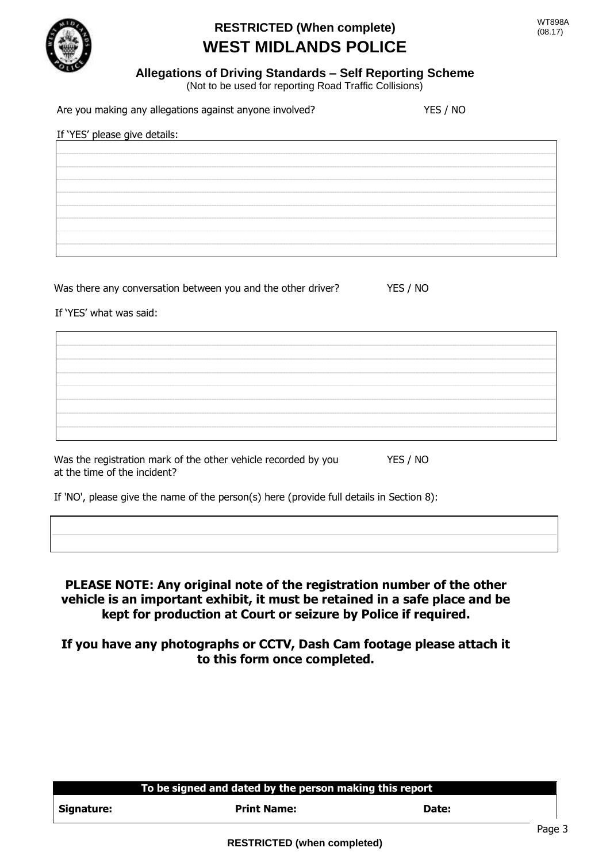

### **Allegations of Driving Standards – Self Reporting Scheme**

(Not to be used for reporting Road Traffic Collisions)

Are you making any allegations against anyone involved? YES / NO

|  |  |  |  | If 'YES' please give details: |  |  |  |  |  |  |  |  |  |  |  |  |
|--|--|--|--|-------------------------------|--|--|--|--|--|--|--|--|--|--|--|--|
|  |  |  |  |                               |  |  |  |  |  |  |  |  |  |  |  |  |
|  |  |  |  |                               |  |  |  |  |  |  |  |  |  |  |  |  |
|  |  |  |  |                               |  |  |  |  |  |  |  |  |  |  |  |  |
|  |  |  |  |                               |  |  |  |  |  |  |  |  |  |  |  |  |
|  |  |  |  |                               |  |  |  |  |  |  |  |  |  |  |  |  |
|  |  |  |  |                               |  |  |  |  |  |  |  |  |  |  |  |  |
|  |  |  |  |                               |  |  |  |  |  |  |  |  |  |  |  |  |
|  |  |  |  |                               |  |  |  |  |  |  |  |  |  |  |  |  |
|  |  |  |  |                               |  |  |  |  |  |  |  |  |  |  |  |  |

Was there any conversation between you and the other driver? YES / NO

If 'YES' what was said:

Was the registration mark of the other vehicle recorded by you YES / NO at the time of the incident?

If 'NO', please give the name of the person(s) here (provide full details in Section 8):

**PLEASE NOTE: Any original note of the registration number of the other vehicle is an important exhibit, it must be retained in a safe place and be kept for production at Court or seizure by Police if required.**

**If you have any photographs or CCTV, Dash Cam footage please attach it to this form once completed.**

|            | To be signed and dated by the person making this report |       |
|------------|---------------------------------------------------------|-------|
| Signature: | <b>Print Name:</b>                                      | Date: |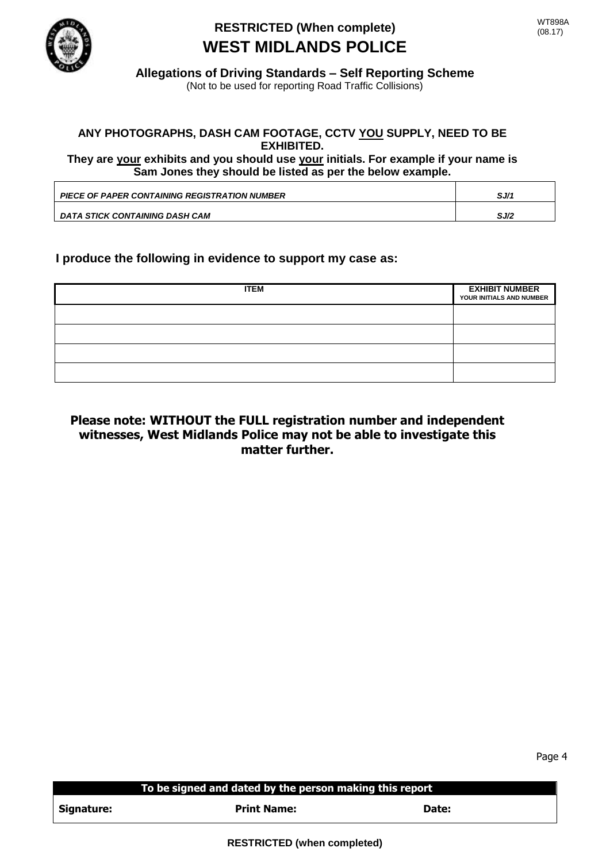

**Allegations of Driving Standards – Self Reporting Scheme**

### (Not to be used for reporting Road Traffic Collisions)

### **ANY PHOTOGRAPHS, DASH CAM FOOTAGE, CCTV YOU SUPPLY, NEED TO BE EXHIBITED.**

**They are your exhibits and you should use your initials. For example if your name is Sam Jones they should be listed as per the below example.**

| <b>PIECE OF PAPER CONTAINING REGISTRATION NUMBER</b> | SJ/1 |
|------------------------------------------------------|------|
|                                                      |      |
|                                                      |      |
| DATA STICK CONTAINING DASH CAM                       | SJ/2 |

### **I produce the following in evidence to support my case as:**

| <b>ITEM</b> | <b>EXHIBIT NUMBER</b><br>YOUR INITIALS AND NUMBER |
|-------------|---------------------------------------------------|
|             |                                                   |
|             |                                                   |
|             |                                                   |
|             |                                                   |

### **Please note: WITHOUT the FULL registration number and independent witnesses, West Midlands Police may not be able to investigate this matter further.**

|            | To be signed and dated by the person making this report |       |
|------------|---------------------------------------------------------|-------|
| Signature: | <b>Print Name:</b>                                      | Date: |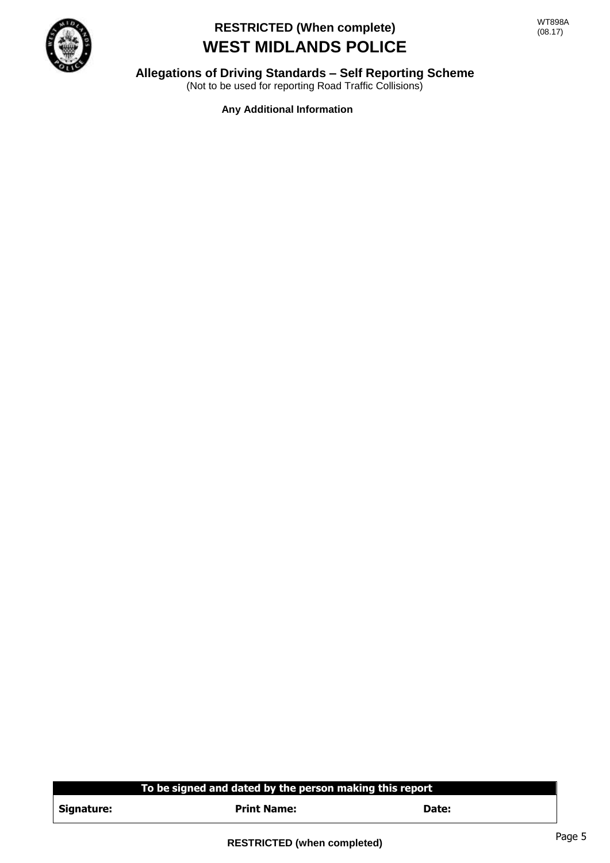

### **Allegations of Driving Standards – Self Reporting Scheme**

(Not to be used for reporting Road Traffic Collisions)

**Any Additional Information**

### **To To be signed and dated by the person making this report**

| Signature: |
|------------|
|------------|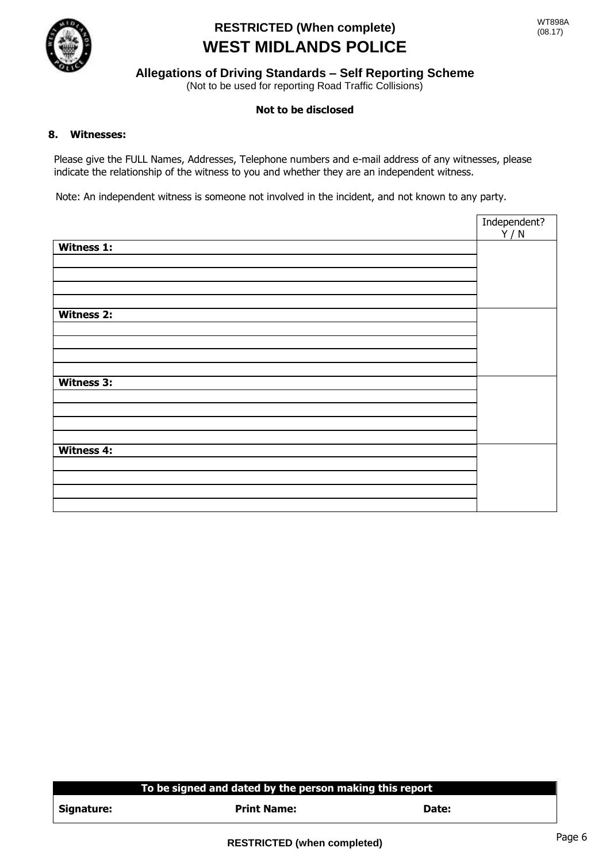

### **Allegations of Driving Standards – Self Reporting Scheme**

(Not to be used for reporting Road Traffic Collisions)

#### **Not to be disclosed**

#### **8. Witnesses:**

Please give the FULL Names, Addresses, Telephone numbers and e-mail address of any witnesses, please indicate the relationship of the witness to you and whether they are an independent witness.

Note: An independent witness is someone not involved in the incident, and not known to any party.

|                   | Independent? |
|-------------------|--------------|
| Witness 1:        | Y/N          |
|                   |              |
|                   |              |
|                   |              |
|                   |              |
| <b>Witness 2:</b> |              |
|                   |              |
|                   |              |
|                   |              |
|                   |              |
| Witness 3:        |              |
|                   |              |
|                   |              |
|                   |              |
|                   |              |
| <b>Witness 4:</b> |              |
|                   |              |
|                   |              |
|                   |              |
|                   |              |
|                   |              |

#### **To To be signed and dated by the person making this report**

| Signature: |
|------------|
|------------|

**Print Name:** Date: